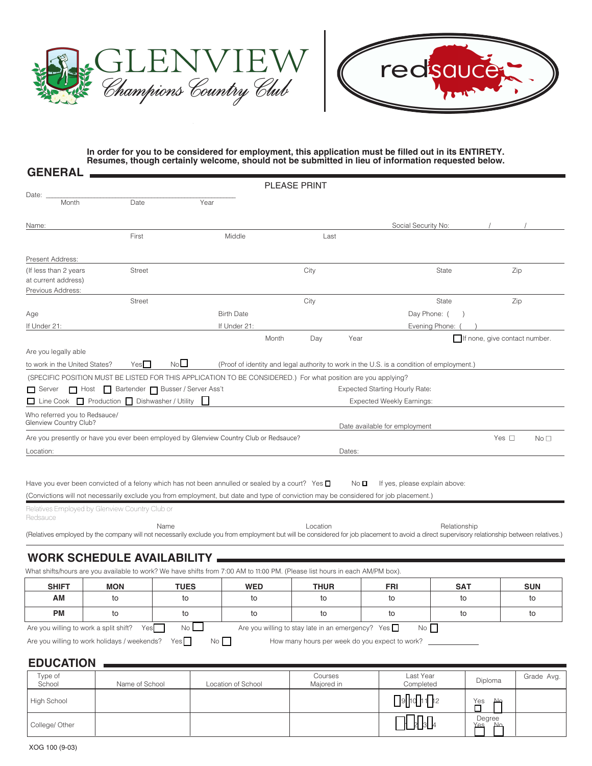



## **In order for you to be considered for employment, this application must be filled out in its ENTIRETY. Resumes, though certainly welcome, should not be submitted in lieu of information requested below.**

|                                               |                                                                                                                                                                                             |                 |                   |       | <b>PLEASE PRINT</b> |                                                          |                                                                                           |              |                               |                 |
|-----------------------------------------------|---------------------------------------------------------------------------------------------------------------------------------------------------------------------------------------------|-----------------|-------------------|-------|---------------------|----------------------------------------------------------|-------------------------------------------------------------------------------------------|--------------|-------------------------------|-----------------|
| Date:<br>Month                                | Date                                                                                                                                                                                        | Year            |                   |       |                     |                                                          |                                                                                           |              |                               |                 |
|                                               |                                                                                                                                                                                             |                 |                   |       |                     |                                                          |                                                                                           |              |                               |                 |
| Name:                                         |                                                                                                                                                                                             |                 |                   |       |                     |                                                          | Social Security No:                                                                       |              |                               |                 |
|                                               | First                                                                                                                                                                                       |                 | Middle            |       | Last                |                                                          |                                                                                           |              |                               |                 |
| Present Address:                              |                                                                                                                                                                                             |                 |                   |       |                     |                                                          |                                                                                           |              |                               |                 |
| (If less than 2 years)<br>at current address) | <b>Street</b>                                                                                                                                                                               |                 |                   |       | City                |                                                          | State                                                                                     |              | Zip                           |                 |
| Previous Address:                             |                                                                                                                                                                                             |                 |                   |       |                     |                                                          |                                                                                           |              |                               |                 |
|                                               | <b>Street</b>                                                                                                                                                                               |                 |                   |       | City                |                                                          | State                                                                                     |              | Zip                           |                 |
| Age                                           |                                                                                                                                                                                             |                 | <b>Birth Date</b> |       |                     |                                                          | Day Phone: (                                                                              |              |                               |                 |
| If Under 21:                                  |                                                                                                                                                                                             |                 | If Under 21:      |       |                     |                                                          | Evening Phone:                                                                            |              |                               |                 |
|                                               |                                                                                                                                                                                             |                 |                   | Month | Day                 | Year                                                     |                                                                                           |              | If none, give contact number. |                 |
| Are you legally able                          |                                                                                                                                                                                             |                 |                   |       |                     |                                                          |                                                                                           |              |                               |                 |
| to work in the United States?                 | Yes                                                                                                                                                                                         | No <sup>1</sup> |                   |       |                     |                                                          | (Proof of identity and legal authority to work in the U.S. is a condition of employment.) |              |                               |                 |
|                                               | (SPECIFIC POSITION MUST BE LISTED FOR THIS APPLICATION TO BE CONSIDERED.) For what position are you applying?                                                                               |                 |                   |       |                     |                                                          |                                                                                           |              |                               |                 |
|                                               | Server Host Bartender Busser / Server Ass't                                                                                                                                                 |                 |                   |       |                     |                                                          | <b>Expected Starting Hourly Rate:</b>                                                     |              |                               |                 |
|                                               | $\Box$ Line Cook $\Box$ Production $\Box$ Dishwasher / Utility                                                                                                                              |                 |                   |       |                     |                                                          | <b>Expected Weekly Earnings:</b>                                                          |              |                               |                 |
| Who referred you to Redsauce/                 |                                                                                                                                                                                             |                 |                   |       |                     |                                                          |                                                                                           |              |                               |                 |
| Glenview Country Club?                        |                                                                                                                                                                                             |                 |                   |       |                     |                                                          | Date available for employment                                                             |              |                               |                 |
|                                               | Are you presently or have you ever been employed by Glenview Country Club or Redsauce?                                                                                                      |                 |                   |       |                     |                                                          |                                                                                           |              | Yes $\square$                 | No <sub>1</sub> |
| Location:                                     |                                                                                                                                                                                             |                 |                   |       |                     | Dates:                                                   |                                                                                           |              |                               |                 |
|                                               |                                                                                                                                                                                             |                 |                   |       |                     |                                                          |                                                                                           |              |                               |                 |
|                                               | Have you ever been convicted of a felony which has not been annulled or sealed by a court? Yes $\Box$                                                                                       |                 |                   |       |                     | No O                                                     | If yes, please explain above:                                                             |              |                               |                 |
|                                               | (Convictions will not necessarily exclude you from employment, but date and type of conviction may be considered for job placement.)                                                        |                 |                   |       |                     |                                                          |                                                                                           |              |                               |                 |
| Redsauce                                      | Relatives Employed by Glenview Country Club or                                                                                                                                              |                 |                   |       |                     |                                                          |                                                                                           |              |                               |                 |
|                                               |                                                                                                                                                                                             | Name            |                   |       | Location            |                                                          |                                                                                           | Relationship |                               |                 |
|                                               | (Relatives employed by the company will not necessarily exclude you from employment but will be considered for job placement to avoid a direct supervisory relationship between relatives.) |                 |                   |       |                     |                                                          |                                                                                           |              |                               |                 |
|                                               |                                                                                                                                                                                             |                 |                   |       |                     |                                                          |                                                                                           |              |                               |                 |
|                                               | <b>WORK SCHEDULE AVAILABILITY</b>                                                                                                                                                           |                 |                   |       |                     |                                                          |                                                                                           |              |                               |                 |
|                                               | What shifts/hours are you available to work? We have shifts from 7:00 AM to 11:00 PM. (Please list hours in each AM/PM box).                                                                |                 |                   |       |                     |                                                          |                                                                                           |              |                               |                 |
| <b>SHIFT</b>                                  | <b>MON</b>                                                                                                                                                                                  | <b>TUES</b>     | <b>WED</b>        |       | <b>THUR</b>         |                                                          | <b>FRI</b>                                                                                | <b>SAT</b>   |                               | <b>SUN</b>      |
| AМ                                            | to                                                                                                                                                                                          | to              | to                |       | to                  |                                                          | to                                                                                        | to           |                               | to              |
| <b>PM</b>                                     | to                                                                                                                                                                                          | to              | to                |       | to                  |                                                          | to                                                                                        | to           |                               | to              |
| Are you willing to work a split shift?        | Yes                                                                                                                                                                                         | No <sub>l</sub> |                   |       |                     | Are you willing to stay late in an emergency? Yes $\Box$ | No                                                                                        |              |                               |                 |
|                                               | Are you willing to work holidays / weekends?                                                                                                                                                | Yes<br>No       |                   |       |                     | How many hours per week do you expect to work?           |                                                                                           |              |                               |                 |

## **EDUCATION**

**GENERAL**

| Type of<br>School  | Name of School | Location of School | Courses<br>Majored in | Last Year<br>Completed         | Diploma                                      | Grade Avg. |
|--------------------|----------------|--------------------|-----------------------|--------------------------------|----------------------------------------------|------------|
| <b>High School</b> |                |                    |                       | $\Box$ o $\Box$ 1 $\Box$ 12    | $\overline{\mathsf{L}}^{\text{Yes}}$<br>صلحا |            |
| College/ Other     |                |                    |                       | $\prod_{3}\prod_{4}$<br>╫<br>Þ | Degree<br>Yes<br>Ν۵                          |            |